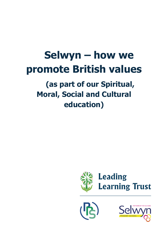# **Selwyn – how we promote British values**

# **(as part of our Spiritual, Moral, Social and Cultural education)**





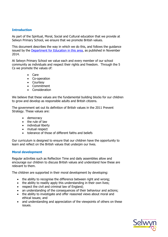# **Introduction**

As part of the Spiritual, Moral, Social and Cultural education that we provide at Selwyn Primary School, we ensure that we promote British values.

This document describes the way in which we do this, and follows the guidance issued by the **Department for Education in this area**, as published in November 2014.

At Selwyn Primary School we value each and every member of our school community as individuals and respect their rights and freedom. Through the 5 Cs we promote the values of:

- Care
- Co-operation
- Courtesy
- Commitment
- Consideration

We believe that these values are the fundamental building blocks for our children to grow and develop as responsible adults and British citizens.

The government set out its definition of British values in the 2011 Prevent Strategy. These values are:

- democracy
- the rule of law
- individual liberty
- mutual respect
- tolerance of those of different faiths and beliefs

Our curriculum is designed to ensure that our children have the opportunity to learn and reflect on the British values that underpin our lives.

## **Moral development**

Regular activities such as Reflection Time and daily assemblies allow and encourage our children to discuss British values and understand how these are relevant to them.

The children are supported in their moral development by developing:

- the ability to recognise the difference between right and wrong;
- the ability to readily apply this understanding in their own lives;
- respect the civil and criminal law of England;
- an understanding of the consequences of their behaviour and actions;
- the ability to investigate and offer reasoned views about moral and ethical issues; and
- and understanding and appreciation of the viewpoints of others on these issues.

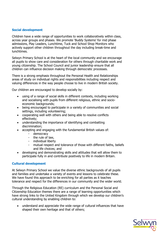# **Social development**

Children have a wide range of opportunities to work collaboratively within class, across year groups and phases. We promote 'Buddy Systems' for mid phase admissions, Play Leaders, Lunchtime, Tuck and School Shop Monitors who actively support other children throughout the day including break-time and lunchtimes.

Selwyn Primary School is at the heart of the local community and we encourage all pupils to show care and consideration for others through charitable work and young citizenship. The School Council and junior leadership ensure that all children can influence decision making through democratic processes.

There is a strong emphasis throughout the Personal Health and Relationships areas of study on individual rights and responsibilities including respect and valuing differences in the way people choose to live in modern British society.

Our children are encouraged to develop socially by:

- using of a range of social skills in different contexts, including working and socialising with pupils from different religious, ethnic and socioeconomic backgrounds;
- being encouraged to participate in a variety of communities and social settings, including volunteering;
- cooperating well with others and being able to resolve conflicts effectively;
- understanding the importance of identifying and combatting discrimination;
- accepting and engaging with the fundamental British values of:
	- democracy
	- the rule of law,
	- individual liberty
	- mutual respect and tolerance of those with different faiths, beliefs and life choices; and
- developing and demonstrating skills and attitudes that will allow them to participate fully in and contribute positively to life in modern Britain.

## **Cultural development**

At Selwyn Primary School we value the diverse ethnic backgrounds of all pupils and families and undertake a variety of events and lessons to celebrate these. We have found this approach to be enriching for all parties as it teaches tolerance and respect for the differences in our community and the wider world.

Through the Religious Education (RE) curriculum and the Personal Social and Citizenship Education themes there are a range of learning opportunities which have strong links to the United Kingdom through which we develop our children's cultural understanding by enabling children to:

 understand and appreciate the wide range of cultural influences that have shaped their own heritage and that of others;